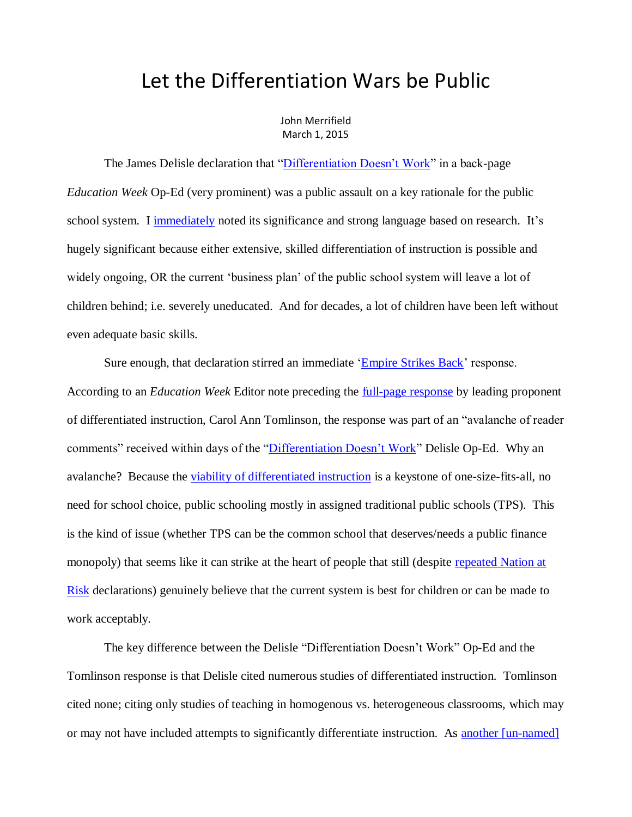## Let the Differentiation Wars be Public

John Merrifield March 1, 2015

The James Delisle declaration that ["Differentiation Doesn't Work"](http://www.edweek.org/ew/articles/2015/01/07/differentiation-doesnt-work.html) in a back-page *Education Week* Op-Ed (very prominent) was a public assault on a key rationale for the public school system. I [immediately](http://www.schoolsystemreformstudies.net/wp-content/uploads/2016/11/Differentiation-of-Instruction-Delusion.pdf) noted its significance and strong language based on research. It's hugely significant because either extensive, skilled differentiation of instruction is possible and widely ongoing, OR the current 'business plan' of the public school system will leave a lot of children behind; i.e. severely uneducated. And for decades, a lot of children have been left without even adequate basic skills.

Sure enough, that declaration stirred an immediate ['Empire Strikes Back'](http://www.schoolsystemreformstudies.net/wp-content/uploads/2016/11/Differentiation-of-Instruction-Delusion.pdf) response. According to an *Education Week* Editor note preceding the [full-page response](http://www.edweek.org/ew/articles/2015/01/28/differentiation-does-in-fact-work.html?intc=highsearch) by leading proponent of differentiated instruction, Carol Ann Tomlinson, the response was part of an "avalanche of reader comments" received within days of the ["Differentiation Doesn't Work"](http://www.edweek.org/ew/articles/2015/01/07/differentiation-doesnt-work.html) Delisle Op-Ed. Why an avalanche? Because the [viability of differentiated instruction](http://www.schoolsystemreformstudies.net/wp-content/uploads/2016/12/Differentiation-Re-Visited.pdf) is a keystone of one-size-fits-all, no need for school choice, public schooling mostly in assigned traditional public schools (TPS). This is the kind of issue (whether TPS can be the common school that deserves/needs a public finance monopoly) that seems like it can strike at the heart of people that still (despite [repeated Nation at](http://www.schoolsystemreformstudies.net/wp-content/uploads/2016/10/Nation-at-Risk-Declarations.pdf)  [Risk](http://www.schoolsystemreformstudies.net/wp-content/uploads/2016/10/Nation-at-Risk-Declarations.pdf) declarations) genuinely believe that the current system is best for children or can be made to work acceptably.

The key difference between the Delisle "Differentiation Doesn't Work" Op-Ed and the Tomlinson response is that Delisle cited numerous studies of differentiated instruction. Tomlinson cited none; citing only studies of teaching in homogenous vs. heterogeneous classrooms, which may or may not have included attempts to significantly differentiate instruction. As another [un-named]